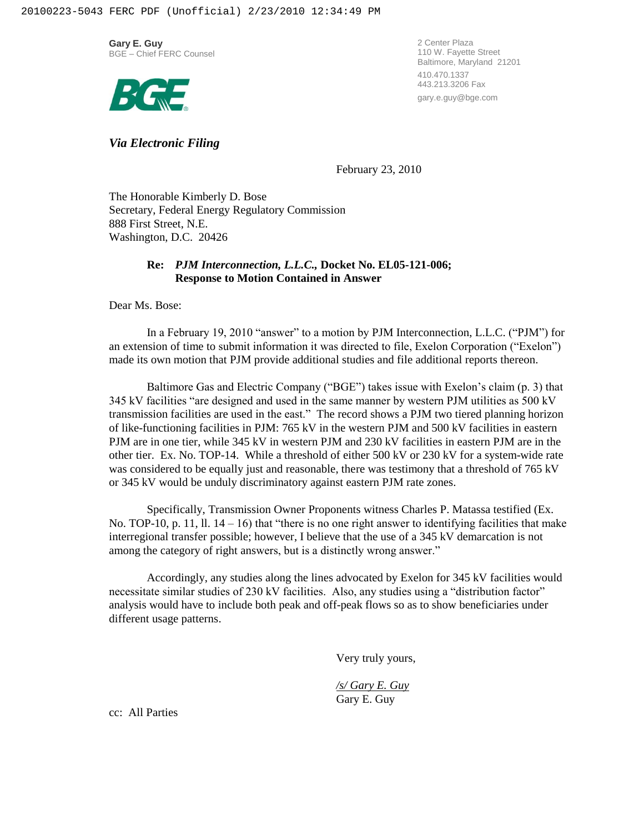**Gary E. Guy** BGE – Chief FERC Counsel



2 Center Plaza 110 W. Fayette Street Baltimore, Maryland 21201 410.470.1337 443.213.3206 Fax gary.e.guy@bge.com

*Via Electronic Filing*

February 23, 2010

The Honorable Kimberly D. Bose Secretary, Federal Energy Regulatory Commission 888 First Street, N.E. Washington, D.C. 20426

## **Re:** *PJM Interconnection, L.L.C.,* **Docket No. EL05-121-006; Response to Motion Contained in Answer**

Dear Ms. Bose:

In a February 19, 2010 "answer" to a motion by PJM Interconnection, L.L.C. ("PJM") for an extension of time to submit information it was directed to file, Exelon Corporation ("Exelon") made its own motion that PJM provide additional studies and file additional reports thereon.

Baltimore Gas and Electric Company ("BGE") takes issue with Exelon's claim (p. 3) that 345 kV facilities "are designed and used in the same manner by western PJM utilities as 500 kV transmission facilities are used in the east." The record shows a PJM two tiered planning horizon of like-functioning facilities in PJM: 765 kV in the western PJM and 500 kV facilities in eastern PJM are in one tier, while 345 kV in western PJM and 230 kV facilities in eastern PJM are in the other tier. Ex. No. TOP-14. While a threshold of either 500 kV or 230 kV for a system-wide rate was considered to be equally just and reasonable, there was testimony that a threshold of 765 kV or 345 kV would be unduly discriminatory against eastern PJM rate zones.

Specifically, Transmission Owner Proponents witness Charles P. Matassa testified (Ex. No. TOP-10, p. 11, ll.  $14 - 16$ ) that "there is no one right answer to identifying facilities that make interregional transfer possible; however, I believe that the use of a 345 kV demarcation is not among the category of right answers, but is a distinctly wrong answer."

Accordingly, any studies along the lines advocated by Exelon for 345 kV facilities would necessitate similar studies of 230 kV facilities. Also, any studies using a "distribution factor" analysis would have to include both peak and off-peak flows so as to show beneficiaries under different usage patterns.

Very truly yours,

*/s/ Gary E. Guy* Gary E. Guy

cc: All Parties